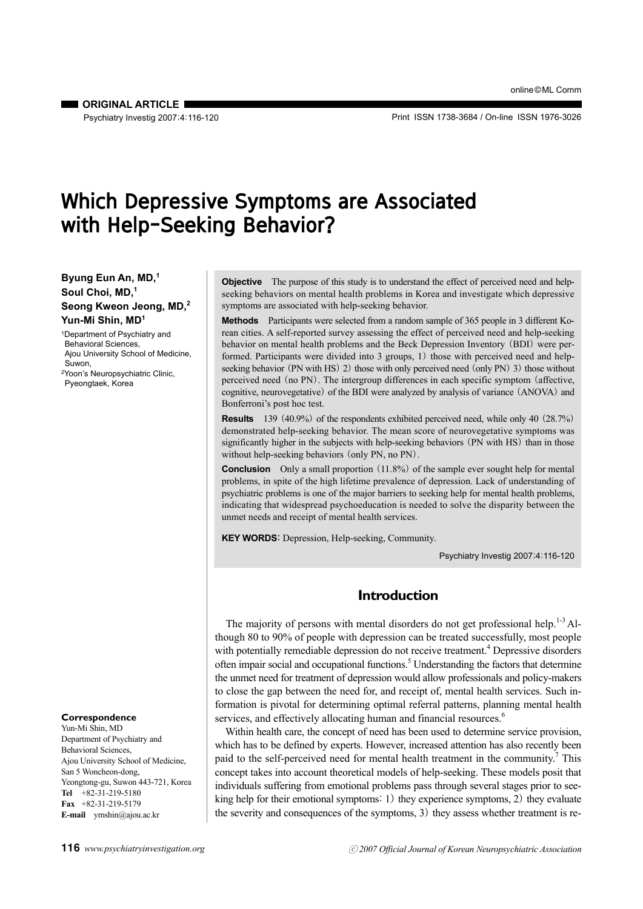**CRIGINAL ARTICLE I** Psychiatry Investig 2007;4:116-120

Print ISSN 1738-3684 / On-line ISSN 1976-3026

# Which Depressive Symptoms are Associated with Help-Seeking Behavior?

## **Byung Eun An, MD,1 Soul Choi, MD,1 Seong Kweon Jeong, MD,2 Yun-Mi Shin, MD1**

1Department of Psychiatry and Behavioral Sciences, Ajou University School of Medicine, Suwon, 2Yoon's Neuropsychiatric Clinic, Pyeongtaek, Korea

#### **Correspondence**

Yun-Mi Shin, MD Department of Psychiatry and Behavioral Sciences, Ajou University School of Medicine, San 5 Woncheon-dong, Yeongtong-gu, Suwon 443-721, Korea **Tel** +82-31-219-5180 **Fax** +82-31-219-5179 **E-mail** ymshin@ajou.ac.kr

**Objective** The purpose of this study is to understand the effect of perceived need and helpseeking behaviors on mental health problems in Korea and investigate which depressive symptoms are associated with help-seeking behavior.

**Methods** Participants were selected from a random sample of 365 people in 3 different Korean cities. A self-reported survey assessing the effect of perceived need and help-seeking behavior on mental health problems and the Beck Depression Inventory (BDI) were performed. Participants were divided into 3 groups, 1) those with perceived need and helpseeking behavior (PN with HS) 2) those with only perceived need (only PN) 3) those without perceived need (no PN). The intergroup differences in each specific symptom (affective, cognitive, neurovegetative) of the BDI were analyzed by analysis of variance (ANOVA) and Bonferroni's post hoc test.

**Results** 139 (40.9%) of the respondents exhibited perceived need, while only 40 (28.7%) demonstrated help-seeking behavior. The mean score of neurovegetative symptoms was significantly higher in the subjects with help-seeking behaviors (PN with HS) than in those without help-seeking behaviors (only PN, no PN).

**Conclusion** Only a small proportion (11.8%) of the sample ever sought help for mental problems, in spite of the high lifetime prevalence of depression. Lack of understanding of psychiatric problems is one of the major barriers to seeking help for mental health problems, indicating that widespread psychoeducation is needed to solve the disparity between the unmet needs and receipt of mental health services.

**KEY WORDS**: Depression, Help-seeking, Community.

Psychiatry Investig 2007;4:116-120

# **Introduction**

The majority of persons with mental disorders do not get professional help.<sup>1-3</sup> Although 80 to 90% of people with depression can be treated successfully, most people with potentially remediable depression do not receive treatment.<sup>4</sup> Depressive disorders often impair social and occupational functions.<sup>5</sup> Understanding the factors that determine the unmet need for treatment of depression would allow professionals and policy-makers to close the gap between the need for, and receipt of, mental health services. Such information is pivotal for determining optimal referral patterns, planning mental health services, and effectively allocating human and financial resources.<sup>6</sup>

Within health care, the concept of need has been used to determine service provision, which has to be defined by experts. However, increased attention has also recently been paid to the self-perceived need for mental health treatment in the community.<sup>7</sup> This concept takes into account theoretical models of help-seeking. These models posit that individuals suffering from emotional problems pass through several stages prior to seeking help for their emotional symptoms: 1) they experience symptoms, 2) they evaluate the severity and consequences of the symptoms, 3) they assess whether treatment is re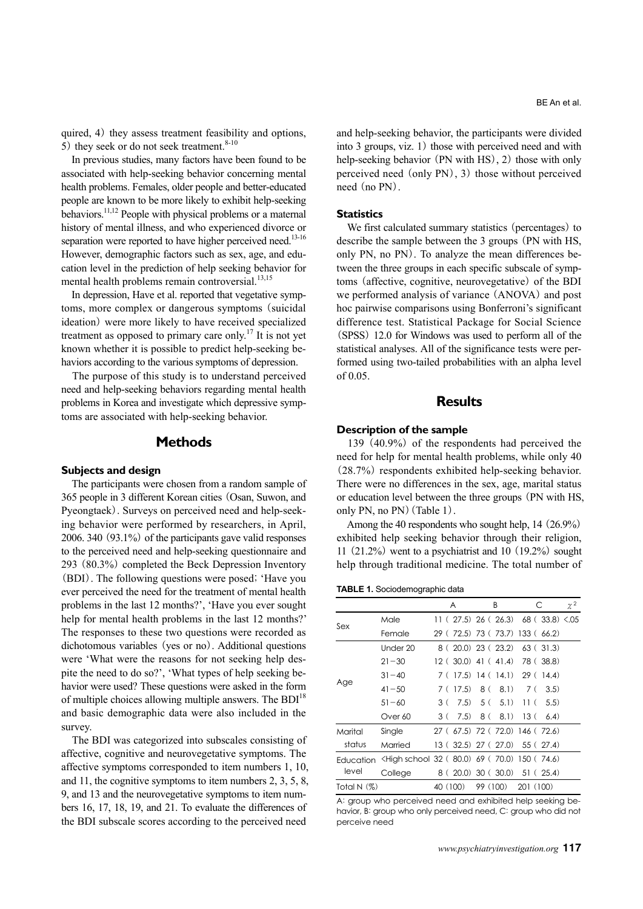quired, 4) they assess treatment feasibility and options, 5) they seek or do not seek treatment. $8-10$ 

In previous studies, many factors have been found to be associated with help-seeking behavior concerning mental health problems. Females, older people and better-educated people are known to be more likely to exhibit help-seeking behaviors.<sup>11,12</sup> People with physical problems or a maternal history of mental illness, and who experienced divorce or separation were reported to have higher perceived need.<sup>13-16</sup> However, demographic factors such as sex, age, and education level in the prediction of help seeking behavior for mental health problems remain controversial. $^{13,15}$ 

In depression, Have et al. reported that vegetative symptoms, more complex or dangerous symptoms (suicidal ideation) were more likely to have received specialized treatment as opposed to primary care only.<sup>17</sup> It is not yet known whether it is possible to predict help-seeking behaviors according to the various symptoms of depression.

The purpose of this study is to understand perceived need and help-seeking behaviors regarding mental health problems in Korea and investigate which depressive symptoms are associated with help-seeking behavior.

# **Methods**

#### **Subjects and design**

The participants were chosen from a random sample of 365 people in 3 different Korean cities (Osan, Suwon, and Pyeongtaek). Surveys on perceived need and help-seeking behavior were performed by researchers, in April, 2006. 340 (93.1%) of the participants gave valid responses to the perceived need and help-seeking questionnaire and 293 (80.3%) completed the Beck Depression Inventory (BDI). The following questions were posed; 'Have you ever perceived the need for the treatment of mental health problems in the last 12 months?', 'Have you ever sought help for mental health problems in the last 12 months?' The responses to these two questions were recorded as dichotomous variables (yes or no). Additional questions were 'What were the reasons for not seeking help despite the need to do so?', 'What types of help seeking behavior were used? These questions were asked in the form of multiple choices allowing multiple answers. The BDI<sup>18</sup> and basic demographic data were also included in the survey.

The BDI was categorized into subscales consisting of affective, cognitive and neurovegetative symptoms. The affective symptoms corresponded to item numbers 1, 10, and 11, the cognitive symptoms to item numbers 2, 3, 5, 8, 9, and 13 and the neurovegetative symptoms to item numbers 16, 17, 18, 19, and 21. To evaluate the differences of the BDI subscale scores according to the perceived need

and help-seeking behavior, the participants were divided into 3 groups, viz. 1) those with perceived need and with help-seeking behavior (PN with HS), 2) those with only perceived need (only PN), 3) those without perceived need (no PN).

#### **Statistics**

We first calculated summary statistics (percentages) to describe the sample between the 3 groups (PN with HS, only PN, no PN). To analyze the mean differences between the three groups in each specific subscale of symptoms (affective, cognitive, neurovegetative) of the BDI we performed analysis of variance (ANOVA) and post hoc pairwise comparisons using Bonferroni's significant difference test. Statistical Package for Social Science (SPSS) 12.0 for Windows was used to perform all of the statistical analyses. All of the significance tests were performed using two-tailed probabilities with an alpha level of 0.05.

### **Results**

#### **Description of the sample**

139 (40.9%) of the respondents had perceived the need for help for mental health problems, while only 40 (28.7%) respondents exhibited help-seeking behavior. There were no differences in the sex, age, marital status or education level between the three groups (PN with HS, only PN, no PN) (Table 1).

Among the 40 respondents who sought help, 14 (26.9%) exhibited help seeking behavior through their religion, 11  $(21.2\%)$  went to a psychiatrist and 10  $(19.2\%)$  sought help through traditional medicine. The total number of

**TABLE 1.** Sociodemographic data

|                    |                                                                                                                                                | A        |          |          | B                  |           | С                                | $\chi^2$ |
|--------------------|------------------------------------------------------------------------------------------------------------------------------------------------|----------|----------|----------|--------------------|-----------|----------------------------------|----------|
| Sex                | Male                                                                                                                                           |          |          |          |                    |           | 11(27.5)26(26.3)68(33.8)5.05     |          |
|                    | Female                                                                                                                                         |          |          |          |                    |           | 29 (72.5) 73 (73.7) 133 (66.2)   |          |
| Age                | Under 20                                                                                                                                       |          |          |          | 8 (20.0) 23 (23.2) |           | 63(31.3)                         |          |
|                    | $21 - 30$                                                                                                                                      |          |          |          |                    |           | 12 (30.0) 41 (41.4) 78 (38.8)    |          |
|                    | $31 - 40$                                                                                                                                      |          |          |          |                    |           | $7(17.5)$ 14 (14.1) 29 (14.4)    |          |
|                    | $41 - 50$                                                                                                                                      |          | 7 (17.5) |          | 8 ( 8.1)           | 7 (       | (3.5)                            |          |
|                    | $51 - 60$                                                                                                                                      | 3 (      | 7.5)     |          | $5(5.1)$ 11 (      |           | (5.5)                            |          |
|                    | Over 60                                                                                                                                        | 3 (      | 7.5)     | 8 (      |                    | 8.1) 13 ( | (6.4)                            |          |
| Marital<br>status  | Single                                                                                                                                         |          |          |          |                    |           | 27 (67.5) 72 (72.0) 146 (72.6)   |          |
|                    | Married                                                                                                                                        |          |          |          |                    |           | 13 ( 32.5) 27 ( 27.0) 55 ( 27.4) |          |
| Education<br>level | <high (70.0)="" (74.6)<="" (80.0)="" 150="" 32="" 69="" school="" td=""><td></td><td></td><td></td><td></td><td></td><td></td><td></td></high> |          |          |          |                    |           |                                  |          |
|                    | College                                                                                                                                        |          |          |          |                    |           | 8(20.0)30(30.0)51(25.4)          |          |
| Total N $(%)$      |                                                                                                                                                | 40 (100) |          | 99 (100) |                    | 201 (100) |                                  |          |

A: group who perceived need and exhibited help seeking behavior, B: group who only perceived need, C: group who did not perceive need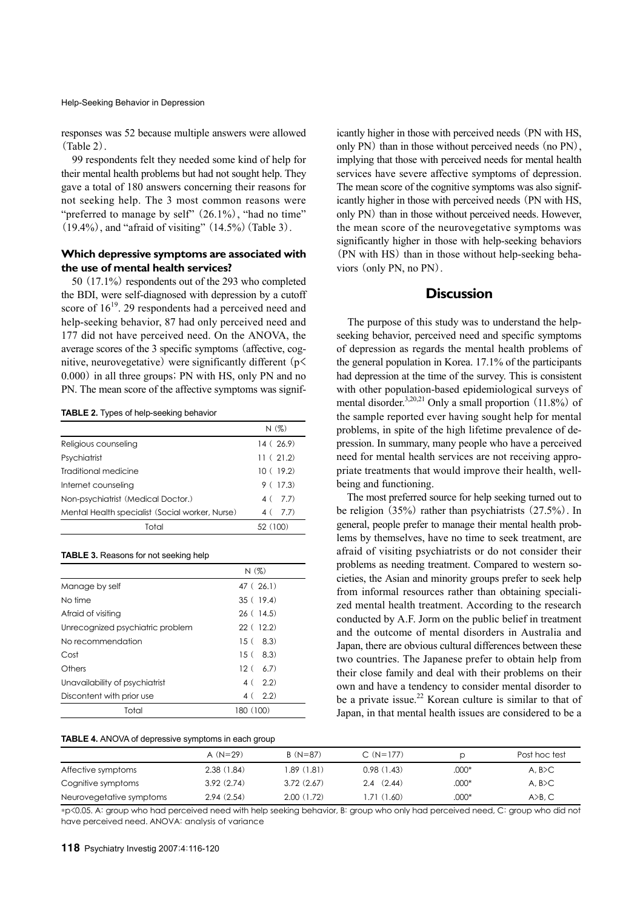Help-Seeking Behavior in Depression

responses was 52 because multiple answers were allowed (Table 2).

99 respondents felt they needed some kind of help for their mental health problems but had not sought help. They gave a total of 180 answers concerning their reasons for not seeking help. The 3 most common reasons were "preferred to manage by self"  $(26.1\%)$ , "had no time"  $(19.4\%)$ , and "afraid of visiting"  $(14.5\%)$  (Table 3).

# **Which depressive symptoms are associated with the use of mental health services?**

50 (17.1%) respondents out of the 293 who completed the BDI, were self-diagnosed with depression by a cutoff score of  $16^{19}$ . 29 respondents had a perceived need and help-seeking behavior, 87 had only perceived need and 177 did not have perceived need. On the ANOVA, the average scores of the 3 specific symptoms (affective, cognitive, neurovegetative) were significantly different  $(p<$ 0.000) in all three groups; PN with HS, only PN and no PN. The mean score of the affective symptoms was signif-

**TABLE 2.** Types of help-seeking behavior

|                                                 | N(%)      |
|-------------------------------------------------|-----------|
| Religious counseling                            | 14 (26.9) |
| Psychiatrist                                    | 11(21.2)  |
| Traditional medicine                            | 10(19.2)  |
| Internet counseling                             | 9(17.3)   |
| Non-psychiatrist (Medical Doctor.)              | 4 ( 7.7)  |
| Mental Health specialist (Social worker, Nurse) | 4(7.7)    |
| Total                                           | 52 (100)  |
|                                                 |           |

#### **TABLE 3.** Reasons for not seeking help

|                                  | N(%)      |
|----------------------------------|-----------|
| Manage by self                   | 47 (26.1) |
| No time                          | 35(19.4)  |
| Afraid of visiting               | 26(14.5)  |
| Unrecognized psychiatric problem | 22(12.2)  |
| No recommendation                | 15(8.3)   |
| Cost                             | 15(8.3)   |
| Others                           | 12(6.7)   |
| Unavailability of psychiatrist   | 4(2.2)    |
| Discontent with prior use        | 4(2.2)    |
| Total                            | 180 (100) |

#### **TABLE 4.** ANOVA of depressive symptoms in each group

icantly higher in those with perceived needs (PN with HS, only PN) than in those without perceived needs (no PN), implying that those with perceived needs for mental health services have severe affective symptoms of depression. The mean score of the cognitive symptoms was also significantly higher in those with perceived needs (PN with HS, only PN) than in those without perceived needs. However, the mean score of the neurovegetative symptoms was significantly higher in those with help-seeking behaviors (PN with HS) than in those without help-seeking behaviors (only PN, no PN).

# **Discussion**

The purpose of this study was to understand the helpseeking behavior, perceived need and specific symptoms of depression as regards the mental health problems of the general population in Korea. 17.1% of the participants had depression at the time of the survey. This is consistent with other population-based epidemiological surveys of mental disorder.3,20,21 Only a small proportion (11.8%) of the sample reported ever having sought help for mental problems, in spite of the high lifetime prevalence of depression. In summary, many people who have a perceived need for mental health services are not receiving appropriate treatments that would improve their health, wellbeing and functioning.

The most preferred source for help seeking turned out to be religion (35%) rather than psychiatrists (27.5%). In general, people prefer to manage their mental health problems by themselves, have no time to seek treatment, are afraid of visiting psychiatrists or do not consider their problems as needing treatment. Compared to western societies, the Asian and minority groups prefer to seek help from informal resources rather than obtaining specialized mental health treatment. According to the research conducted by A.F. Jorm on the public belief in treatment and the outcome of mental disorders in Australia and Japan, there are obvious cultural differences between these two countries. The Japanese prefer to obtain help from their close family and deal with their problems on their own and have a tendency to consider mental disorder to be a private issue.<sup>22</sup> Korean culture is similar to that of Japan, in that mental health issues are considered to be a

|                          | A $(N=29)$ | $B(N=87)$  | $C(N=177)$  |         | Post hoc test |
|--------------------------|------------|------------|-------------|---------|---------------|
| Affective symptoms       | 2.38(1.84) | 1.89(1.81) | 0.98(1.43)  | $.000*$ | A. B > C      |
| Cognitive symptoms       | 3.92(2.74) | 3.72(2.67) | 2.4(2.44)   | $.000*$ | A. B > C      |
| Neurovegetative symptoms | 2.94(2.54) | 2.00(1.72) | 1.71 (1.60) | $.000*$ | A>B,C         |

\*p<0.05. A: group who had perceived need with help seeking behavior, B: group who only had perceived need, C: group who did not have perceived need. ANOVA: analysis of variance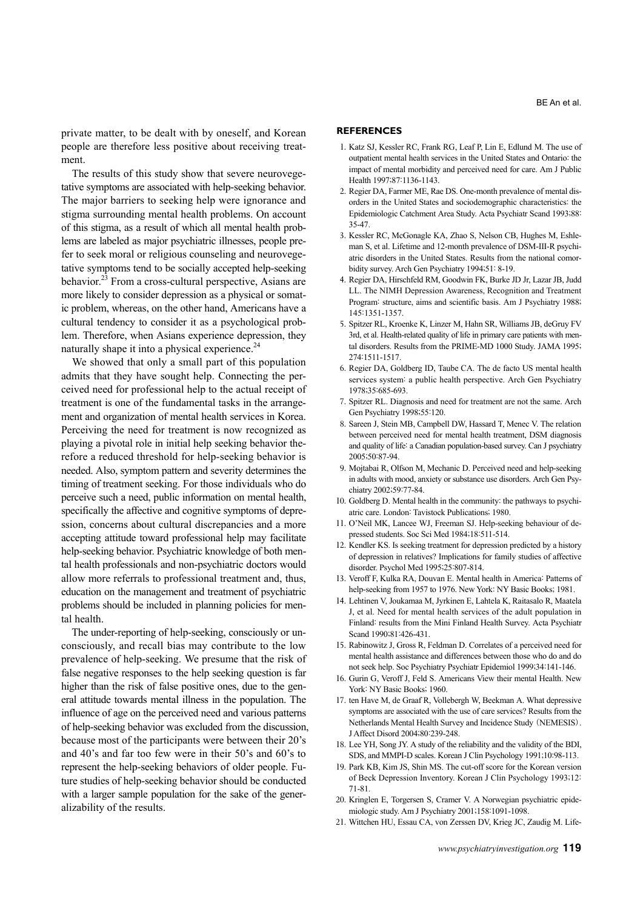private matter, to be dealt with by oneself, and Korean people are therefore less positive about receiving treatment.

The results of this study show that severe neurovegetative symptoms are associated with help-seeking behavior. The major barriers to seeking help were ignorance and stigma surrounding mental health problems. On account of this stigma, as a result of which all mental health problems are labeled as major psychiatric illnesses, people prefer to seek moral or religious counseling and neurovegetative symptoms tend to be socially accepted help-seeking behavior.<sup>23</sup> From a cross-cultural perspective, Asians are more likely to consider depression as a physical or somatic problem, whereas, on the other hand, Americans have a cultural tendency to consider it as a psychological problem. Therefore, when Asians experience depression, they naturally shape it into a physical experience. $24$ 

We showed that only a small part of this population admits that they have sought help. Connecting the perceived need for professional help to the actual receipt of treatment is one of the fundamental tasks in the arrangement and organization of mental health services in Korea. Perceiving the need for treatment is now recognized as playing a pivotal role in initial help seeking behavior therefore a reduced threshold for help-seeking behavior is needed. Also, symptom pattern and severity determines the timing of treatment seeking. For those individuals who do perceive such a need, public information on mental health, specifically the affective and cognitive symptoms of depression, concerns about cultural discrepancies and a more accepting attitude toward professional help may facilitate help-seeking behavior. Psychiatric knowledge of both mental health professionals and non-psychiatric doctors would allow more referrals to professional treatment and, thus, education on the management and treatment of psychiatric problems should be included in planning policies for mental health.

The under-reporting of help-seeking, consciously or unconsciously, and recall bias may contribute to the low prevalence of help-seeking. We presume that the risk of false negative responses to the help seeking question is far higher than the risk of false positive ones, due to the general attitude towards mental illness in the population. The influence of age on the perceived need and various patterns of help-seeking behavior was excluded from the discussion, because most of the participants were between their 20's and 40's and far too few were in their 50's and 60's to represent the help-seeking behaviors of older people. Future studies of help-seeking behavior should be conducted with a larger sample population for the sake of the generalizability of the results.

#### **REFERENCES**

- 1. Katz SJ, Kessler RC, Frank RG, Leaf P, Lin E, Edlund M. The use of outpatient mental health services in the United States and Ontario: the impact of mental morbidity and perceived need for care. Am J Public Health 1997;87:1136-1143.
- 2. Regier DA, Farmer ME, Rae DS. One-month prevalence of mental disorders in the United States and sociodemographic characteristics: the Epidemiologic Catchment Area Study. Acta Psychiatr Scand 1993;88: 35-47.
- 3. Kessler RC, McGonagle KA, Zhao S, Nelson CB, Hughes M, Eshleman S, et al. Lifetime and 12-month prevalence of DSM-III-R psychiatric disorders in the United States. Results from the national comorbidity survey. Arch Gen Psychiatry 1994;51: 8-19.
- 4. Regier DA, Hirschfeld RM, Goodwin FK, Burke JD Jr, Lazar JB, Judd LL. The NIMH Depression Awareness, Recognition and Treatment Program: structure, aims and scientific basis. Am J Psychiatry 1988; 145:1351-1357.
- 5. Spitzer RL, Kroenke K, Linzer M, Hahn SR, Williams JB, deGruy FV 3rd, et al. Health-related quality of life in primary care patients with mental disorders. Results from the PRIME-MD 1000 Study. JAMA 1995; 274:1511-1517.
- 6. Regier DA, Goldberg ID, Taube CA. The de facto US mental health services system: a public health perspective. Arch Gen Psychiatry 1978;35:685-693.
- 7. Spitzer RL. Diagnosis and need for treatment are not the same. Arch Gen Psychiatry 1998;55:120.
- 8. Sareen J, Stein MB, Campbell DW, Hassard T, Menec V. The relation between perceived need for mental health treatment, DSM diagnosis and quality of life: a Canadian population-based survey. Can J psychiatry 2005;50:87-94.
- 9. Mojtabai R, Olfson M, Mechanic D. Perceived need and help-seeking in adults with mood, anxiety or substance use disorders. Arch Gen Psychiatry 2002;59:77-84.
- 10. Goldberg D. Mental health in the community: the pathways to psychiatric care. London: Tavistock Publications; 1980.
- 11. O'Neil MK, Lancee WJ, Freeman SJ. Help-seeking behaviour of depressed students. Soc Sci Med 1984;18:511-514.
- 12. Kendler KS. Is seeking treatment for depression predicted by a history of depression in relatives? Implications for family studies of affective disorder. Psychol Med 1995;25:807-814.
- 13. Veroff F, Kulka RA, Douvan E. Mental health in America: Patterns of help-seeking from 1957 to 1976. New York: NY Basic Books; 1981.
- 14. Lehtinen V, Joukamaa M, Jyrkinen E, Lahtela K, Raitasalo R, Maatela J, et al. Need for mental health services of the adult population in Finland: results from the Mini Finland Health Survey. Acta Psychiatr Scand 1990;81:426-431.
- 15. Rabinowitz J, Gross R, Feldman D. Correlates of a perceived need for mental health assistance and differences between those who do and do not seek help. Soc Psychiatry Psychiatr Epidemiol 1999;34:141-146.
- 16. Gurin G, Veroff J, Feld S. Americans View their mental Health. New York: NY Basic Books; 1960.
- 17. ten Have M, de Graaf R, Vollebergh W, Beekman A. What depressive symptoms are associated with the use of care services? Results from the Netherlands Mental Health Survey and Incidence Study (NEMESIS). J Affect Disord 2004;80:239-248.
- 18. Lee YH, Song JY. A study of the reliability and the validity of the BDI, SDS, and MMPI-D scales. Korean J Clin Psychology 1991;10:98-113.
- 19. Park KB, Kim JS, Shin MS. The cut-off score for the Korean version of Beck Depression Inventory. Korean J Clin Psychology 1993;12: 71-81.
- 20. Kringlen E, Torgersen S, Cramer V. A Norwegian psychiatric epidemiologic study. Am J Psychiatry 2001;158:1091-1098.
- 21. Wittchen HU, Essau CA, von Zerssen DV, Krieg JC, Zaudig M. Life-